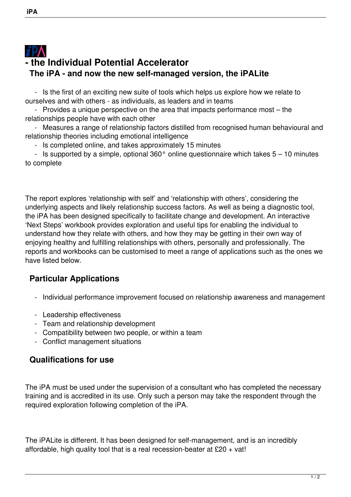## $\boldsymbol{i}$ PA **- the Individual Potential Accelerator The iPA - and now the new self-managed version, the iPALite**

 - Is the first of an exciting new suite of tools which helps us explore how we relate to ourselves and with others - as individuals, as leaders and in teams

 - Provides a unique perspective on the area that impacts performance most – the relationships people have with each other

 - Measures a range of relationship factors distilled from recognised human behavioural and relationship theories including emotional intelligence

- Is completed online, and takes approximately 15 minutes

- Is supported by a simple, optional  $360^\circ$  online questionnaire which takes  $5 - 10$  minutes to complete

The report explores 'relationship with self' and 'relationship with others', considering the underlying aspects and likely relationship success factors. As well as being a diagnostic tool, the iPA has been designed specifically to facilitate change and development. An interactive 'Next Steps' workbook provides exploration and useful tips for enabling the individual to understand how they relate with others, and how they may be getting in their own way of enjoying healthy and fulfilling relationships with others, personally and professionally. The reports and workbooks can be customised to meet a range of applications such as the ones we have listed below.

## **Particular Applications**

- Individual performance improvement focused on relationship awareness and management
- Leadership effectiveness
- Team and relationship development
- Compatibility between two people, or within a team
- Conflict management situations

## **Qualifications for use**

The iPA must be used under the supervision of a consultant who has completed the necessary training and is accredited in its use. Only such a person may take the respondent through the required exploration following completion of the iPA.

The iPALite is different. It has been designed for self-management, and is an incredibly affordable, high quality tool that is a real recession-beater at  $£20 + vat!$